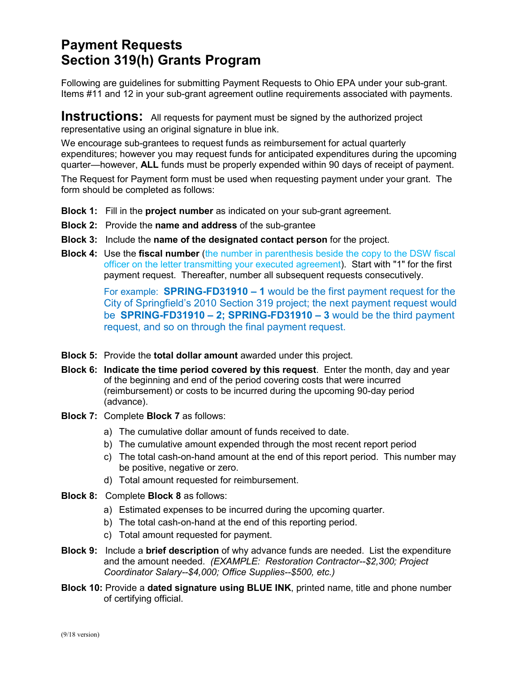## **Payment Requests Section 319(h) Grants Program**

Following are guidelines for submitting Payment Requests to Ohio EPA under your sub-grant. Items #11 and 12 in your sub-grant agreement outline requirements associated with payments.

**Instructions:** All requests for payment must be signed by the authorized project representative using an original signature in blue ink.

We encourage sub-grantees to request funds as reimbursement for actual quarterly expenditures; however you may request funds for anticipated expenditures during the upcoming quarter—however, **ALL** funds must be properly expended within 90 days of receipt of payment.

The Request for Payment form must be used when requesting payment under your grant. The form should be completed as follows:

- **Block 1:** Fill in the **project number** as indicated on your sub-grant agreement.
- **Block 2:** Provide the **name and address** of the sub-grantee
- **Block 3:** Include the **name of the designated contact person** for the project.
- **Block 4:** Use the **fiscal number** (the number in parenthesis beside the copy to the DSW fiscal officer on the letter transmitting your executed agreement). Start with "1" for the first payment request. Thereafter, number all subsequent requests consecutively.

For example: **SPRING-FD31910 – 1** would be the first payment request for the City of Springfield's 2010 Section 319 project; the next payment request would be **SPRING-FD31910 – 2; SPRING-FD31910 – 3** would be the third payment request, and so on through the final payment request.

- **Block 5:** Provide the **total dollar amount** awarded under this project.
- **Block 6: Indicate the time period covered by this request**. Enter the month, day and year of the beginning and end of the period covering costs that were incurred (reimbursement) or costs to be incurred during the upcoming 90-day period (advance).
- **Block 7:** Complete **Block 7** as follows:
	- a) The cumulative dollar amount of funds received to date.
	- b) The cumulative amount expended through the most recent report period
	- c) The total cash-on-hand amount at the end of this report period. This number may be positive, negative or zero.
	- d) Total amount requested for reimbursement.
- **Block 8:** Complete **Block 8** as follows:
	- a) Estimated expenses to be incurred during the upcoming quarter.
	- b) The total cash-on-hand at the end of this reporting period.
	- c) Total amount requested for payment.
- **Block 9:** Include a **brief description** of why advance funds are needed. List the expenditure and the amount needed. *(EXAMPLE: Restoration Contractor--\$2,300; Project Coordinator Salary--\$4,000; Office Supplies--\$500, etc.)*
- **Block 10:** Provide a **dated signature using BLUE INK**, printed name, title and phone number of certifying official.